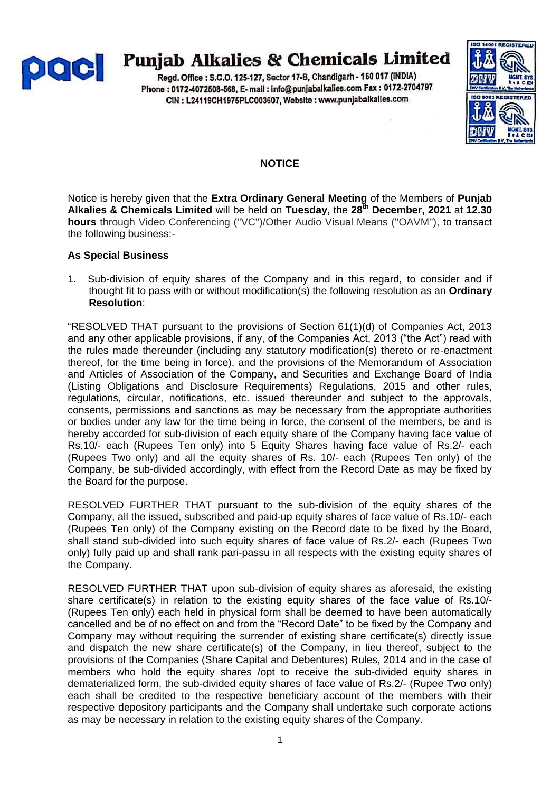

# **Punjab Alkalies & Chemicals Limited**

Regd. Office: S.C.O. 125-127, Sector 17-B, Chandigarh - 160 017 (INDIA) Phone: 0172-4072508-568, E- mail: info@punjabalkalies.com Fax: 0172-2704797 CIN : L24119CH1975PLC003607, Website : www.punjabalkalies.com



## **NOTICE**

Notice is hereby given that the **Extra Ordinary General Meeting** of the Members of **Punjab Alkalies & Chemicals Limited** will be held on **Tuesday,** the **28th December, 2021** at **12.30 hours** through Video Conferencing (''VC'')/Other Audio Visual Means (''OAVM''), to transact the following business:-

### **As Special Business**

1. Sub-division of equity shares of the Company and in this regard, to consider and if thought fit to pass with or without modification(s) the following resolution as an **Ordinary Resolution**:

"RESOLVED THAT pursuant to the provisions of Section 61(1)(d) of Companies Act, 2013 and any other applicable provisions, if any, of the Companies Act, 2013 ("the Act") read with the rules made thereunder (including any statutory modification(s) thereto or re-enactment thereof, for the time being in force), and the provisions of the Memorandum of Association and Articles of Association of the Company, and Securities and Exchange Board of India (Listing Obligations and Disclosure Requirements) Regulations, 2015 and other rules, regulations, circular, notifications, etc. issued thereunder and subject to the approvals, consents, permissions and sanctions as may be necessary from the appropriate authorities or bodies under any law for the time being in force, the consent of the members, be and is hereby accorded for sub-division of each equity share of the Company having face value of Rs.10/- each (Rupees Ten only) into 5 Equity Shares having face value of Rs.2/- each (Rupees Two only) and all the equity shares of Rs. 10/- each (Rupees Ten only) of the Company, be sub-divided accordingly, with effect from the Record Date as may be fixed by the Board for the purpose.

RESOLVED FURTHER THAT pursuant to the sub-division of the equity shares of the Company, all the issued, subscribed and paid-up equity shares of face value of Rs.10/- each (Rupees Ten only) of the Company existing on the Record date to be fixed by the Board, shall stand sub-divided into such equity shares of face value of Rs.2/- each (Rupees Two only) fully paid up and shall rank pari-passu in all respects with the existing equity shares of the Company.

RESOLVED FURTHER THAT upon sub-division of equity shares as aforesaid, the existing share certificate(s) in relation to the existing equity shares of the face value of Rs.10/- (Rupees Ten only) each held in physical form shall be deemed to have been automatically cancelled and be of no effect on and from the "Record Date" to be fixed by the Company and Company may without requiring the surrender of existing share certificate(s) directly issue and dispatch the new share certificate(s) of the Company, in lieu thereof, subject to the provisions of the Companies (Share Capital and Debentures) Rules, 2014 and in the case of members who hold the equity shares /opt to receive the sub-divided equity shares in dematerialized form, the sub-divided equity shares of face value of Rs.2/- (Rupee Two only) each shall be credited to the respective beneficiary account of the members with their respective depository participants and the Company shall undertake such corporate actions as may be necessary in relation to the existing equity shares of the Company.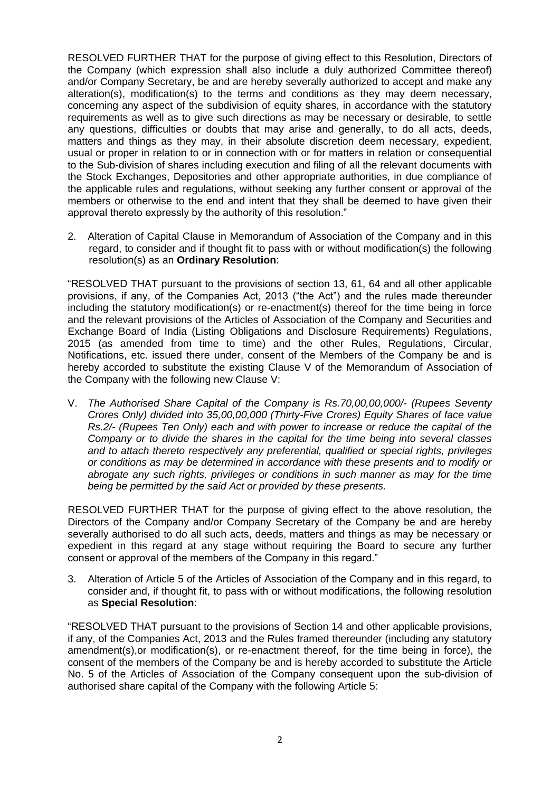RESOLVED FURTHER THAT for the purpose of giving effect to this Resolution, Directors of the Company (which expression shall also include a duly authorized Committee thereof) and/or Company Secretary, be and are hereby severally authorized to accept and make any alteration(s), modification(s) to the terms and conditions as they may deem necessary, concerning any aspect of the subdivision of equity shares, in accordance with the statutory requirements as well as to give such directions as may be necessary or desirable, to settle any questions, difficulties or doubts that may arise and generally, to do all acts, deeds, matters and things as they may, in their absolute discretion deem necessary, expedient, usual or proper in relation to or in connection with or for matters in relation or consequential to the Sub-division of shares including execution and filing of all the relevant documents with the Stock Exchanges, Depositories and other appropriate authorities, in due compliance of the applicable rules and regulations, without seeking any further consent or approval of the members or otherwise to the end and intent that they shall be deemed to have given their approval thereto expressly by the authority of this resolution."

2. Alteration of Capital Clause in Memorandum of Association of the Company and in this regard, to consider and if thought fit to pass with or without modification(s) the following resolution(s) as an **Ordinary Resolution**:

"RESOLVED THAT pursuant to the provisions of section 13, 61, 64 and all other applicable provisions, if any, of the Companies Act, 2013 ("the Act") and the rules made thereunder including the statutory modification(s) or re-enactment(s) thereof for the time being in force and the relevant provisions of the Articles of Association of the Company and Securities and Exchange Board of India (Listing Obligations and Disclosure Requirements) Regulations, 2015 (as amended from time to time) and the other Rules, Regulations, Circular, Notifications, etc. issued there under, consent of the Members of the Company be and is hereby accorded to substitute the existing Clause V of the Memorandum of Association of the Company with the following new Clause V:

V. *The Authorised Share Capital of the Company is Rs.70,00,00,000/- (Rupees Seventy Crores Only) divided into 35,00,00,000 (Thirty-Five Crores) Equity Shares of face value Rs.2/- (Rupees Ten Only) each and with power to increase or reduce the capital of the Company or to divide the shares in the capital for the time being into several classes and to attach thereto respectively any preferential, qualified or special rights, privileges or conditions as may be determined in accordance with these presents and to modify or abrogate any such rights, privileges or conditions in such manner as may for the time being be permitted by the said Act or provided by these presents.*

RESOLVED FURTHER THAT for the purpose of giving effect to the above resolution, the Directors of the Company and/or Company Secretary of the Company be and are hereby severally authorised to do all such acts, deeds, matters and things as may be necessary or expedient in this regard at any stage without requiring the Board to secure any further consent or approval of the members of the Company in this regard."

3. Alteration of Article 5 of the Articles of Association of the Company and in this regard, to consider and, if thought fit, to pass with or without modifications, the following resolution as **Special Resolution**:

"RESOLVED THAT pursuant to the provisions of Section 14 and other applicable provisions, if any, of the Companies Act, 2013 and the Rules framed thereunder (including any statutory amendment(s),or modification(s), or re-enactment thereof, for the time being in force), the consent of the members of the Company be and is hereby accorded to substitute the Article No. 5 of the Articles of Association of the Company consequent upon the sub-division of authorised share capital of the Company with the following Article 5: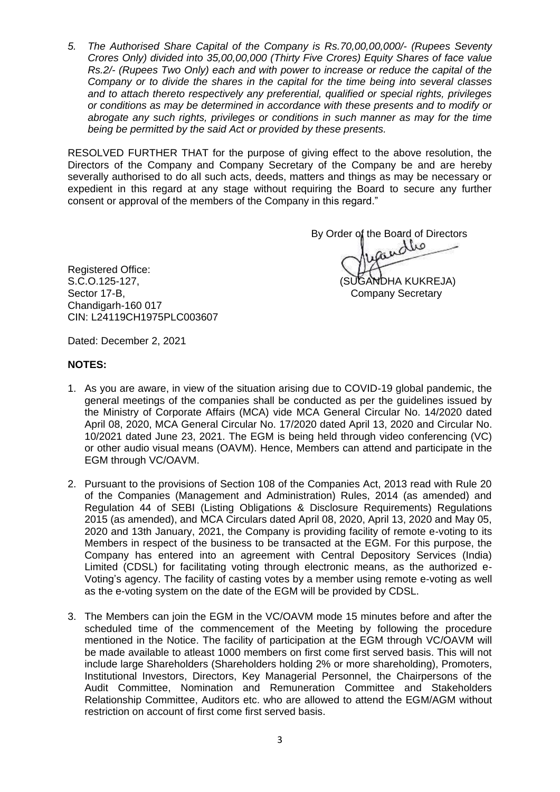*5. The Authorised Share Capital of the Company is Rs.70,00,00,000/- (Rupees Seventy Crores Only) divided into 35,00,00,000 (Thirty Five Crores) Equity Shares of face value Rs.2/- (Rupees Two Only) each and with power to increase or reduce the capital of the Company or to divide the shares in the capital for the time being into several classes and to attach thereto respectively any preferential, qualified or special rights, privileges or conditions as may be determined in accordance with these presents and to modify or abrogate any such rights, privileges or conditions in such manner as may for the time being be permitted by the said Act or provided by these presents.*

RESOLVED FURTHER THAT for the purpose of giving effect to the above resolution, the Directors of the Company and Company Secretary of the Company be and are hereby severally authorised to do all such acts, deeds, matters and things as may be necessary or expedient in this regard at any stage without requiring the Board to secure any further consent or approval of the members of the Company in this regard."

By Order of the Board of Directors

Registered Office: S.C.O.125-127, (SUGANDHA KUKREJA) Sector 17-B, Company Secretary Company Secretary Chandigarh-160 017 CIN: L24119CH1975PLC003607

Dated: December 2, 2021

#### **NOTES:**

- 1. As you are aware, in view of the situation arising due to COVID-19 global pandemic, the general meetings of the companies shall be conducted as per the guidelines issued by the Ministry of Corporate Affairs (MCA) vide MCA General Circular No. 14/2020 dated April 08, 2020, MCA General Circular No. 17/2020 dated April 13, 2020 and Circular No. 10/2021 dated June 23, 2021. The EGM is being held through video conferencing (VC) or other audio visual means (OAVM). Hence, Members can attend and participate in the EGM through VC/OAVM.
- 2. Pursuant to the provisions of Section 108 of the Companies Act, 2013 read with Rule 20 of the Companies (Management and Administration) Rules, 2014 (as amended) and Regulation 44 of SEBI (Listing Obligations & Disclosure Requirements) Regulations 2015 (as amended), and MCA Circulars dated April 08, 2020, April 13, 2020 and May 05, 2020 and 13th January, 2021, the Company is providing facility of remote e-voting to its Members in respect of the business to be transacted at the EGM. For this purpose, the Company has entered into an agreement with Central Depository Services (India) Limited (CDSL) for facilitating voting through electronic means, as the authorized e-Voting"s agency. The facility of casting votes by a member using remote e-voting as well as the e-voting system on the date of the EGM will be provided by CDSL.
- 3. The Members can join the EGM in the VC/OAVM mode 15 minutes before and after the scheduled time of the commencement of the Meeting by following the procedure mentioned in the Notice. The facility of participation at the EGM through VC/OAVM will be made available to atleast 1000 members on first come first served basis. This will not include large Shareholders (Shareholders holding 2% or more shareholding), Promoters, Institutional Investors, Directors, Key Managerial Personnel, the Chairpersons of the Audit Committee, Nomination and Remuneration Committee and Stakeholders Relationship Committee, Auditors etc. who are allowed to attend the EGM/AGM without restriction on account of first come first served basis.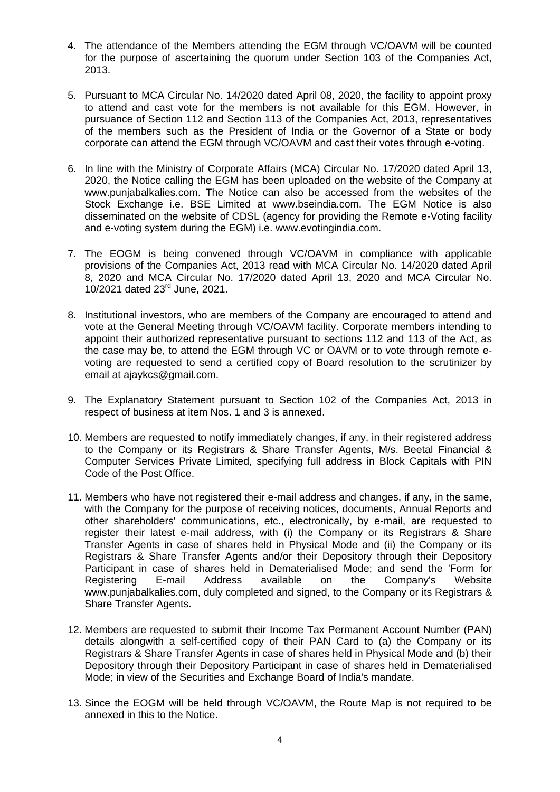- 4. The attendance of the Members attending the EGM through VC/OAVM will be counted for the purpose of ascertaining the quorum under Section 103 of the Companies Act, 2013.
- 5. Pursuant to MCA Circular No. 14/2020 dated April 08, 2020, the facility to appoint proxy to attend and cast vote for the members is not available for this EGM. However, in pursuance of Section 112 and Section 113 of the Companies Act, 2013, representatives of the members such as the President of India or the Governor of a State or body corporate can attend the EGM through VC/OAVM and cast their votes through e-voting.
- 6. In line with the Ministry of Corporate Affairs (MCA) Circular No. 17/2020 dated April 13, 2020, the Notice calling the EGM has been uploaded on the website of the Company at www.punjabalkalies.com. The Notice can also be accessed from the websites of the Stock Exchange i.e. BSE Limited at www.bseindia.com. The EGM Notice is also disseminated on the website of CDSL (agency for providing the Remote e-Voting facility and e-voting system during the EGM) i.e. www.evotingindia.com.
- 7. The EOGM is being convened through VC/OAVM in compliance with applicable provisions of the Companies Act, 2013 read with MCA Circular No. 14/2020 dated April 8, 2020 and MCA Circular No. 17/2020 dated April 13, 2020 and MCA Circular No. 10/2021 dated 23<sup>rd</sup> June, 2021.
- 8. Institutional investors, who are members of the Company are encouraged to attend and vote at the General Meeting through VC/OAVM facility. Corporate members intending to appoint their authorized representative pursuant to sections 112 and 113 of the Act, as the case may be, to attend the EGM through VC or OAVM or to vote through remote evoting are requested to send a certified copy of Board resolution to the scrutinizer by email at ajaykcs@gmail.com.
- 9. The Explanatory Statement pursuant to Section 102 of the Companies Act, 2013 in respect of business at item Nos. 1 and 3 is annexed.
- 10. Members are requested to notify immediately changes, if any, in their registered address to the Company or its Registrars & Share Transfer Agents, M/s. Beetal Financial & Computer Services Private Limited, specifying full address in Block Capitals with PIN Code of the Post Office.
- 11. Members who have not registered their e-mail address and changes, if any, in the same, with the Company for the purpose of receiving notices, documents, Annual Reports and other shareholders' communications, etc., electronically, by e-mail, are requested to register their latest e-mail address, with (i) the Company or its Registrars & Share Transfer Agents in case of shares held in Physical Mode and (ii) the Company or its Registrars & Share Transfer Agents and/or their Depository through their Depository Participant in case of shares held in Dematerialised Mode; and send the 'Form for Registering E-mail Address available on the Company's Website www.punjabalkalies.com, duly completed and signed, to the Company or its Registrars & Share Transfer Agents.
- 12. Members are requested to submit their Income Tax Permanent Account Number (PAN) details alongwith a self-certified copy of their PAN Card to (a) the Company or its Registrars & Share Transfer Agents in case of shares held in Physical Mode and (b) their Depository through their Depository Participant in case of shares held in Dematerialised Mode; in view of the Securities and Exchange Board of India's mandate.
- 13. Since the EOGM will be held through VC/OAVM, the Route Map is not required to be annexed in this to the Notice.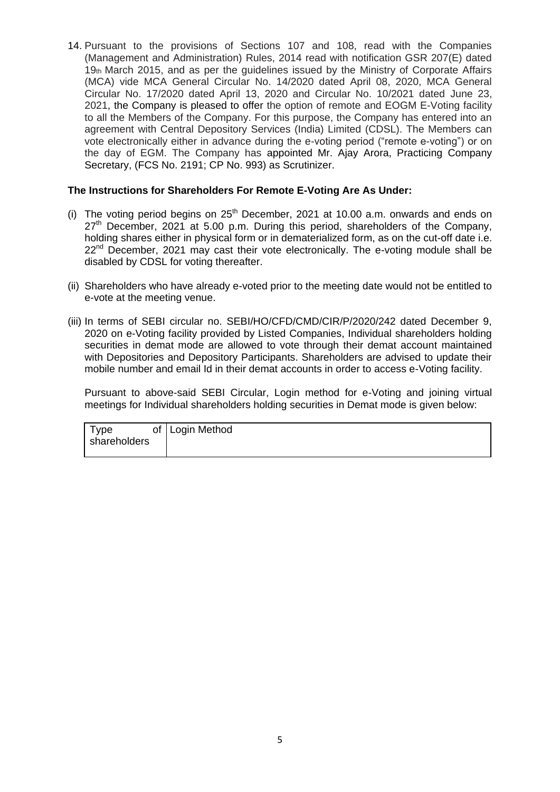14. Pursuant to the provisions of Sections 107 and 108, read with the Companies (Management and Administration) Rules, 2014 read with notification GSR 207(E) dated  $19<sub>th</sub>$  March 2015, and as per the quidelines issued by the Ministry of Corporate Affairs (MCA) vide MCA General Circular No. 14/2020 dated April 08, 2020, MCA General Circular No. 17/2020 dated April 13, 2020 and Circular No. 10/2021 dated June 23, 2021, the Company is pleased to offer the option of remote and EOGM E-Voting facility to all the Members of the Company. For this purpose, the Company has entered into an agreement with Central Depository Services (India) Limited (CDSL). The Members can vote electronically either in advance during the e-voting period ("remote e-voting") or on the day of EGM. The Company has appointed Mr. Ajay Arora, Practicing Company Secretary, (FCS No. 2191; CP No. 993) as Scrutinizer.

#### **The Instructions for Shareholders For Remote E-Voting Are As Under:**

- (i) The voting period begins on  $25<sup>th</sup>$  December, 2021 at 10.00 a.m. onwards and ends on  $27<sup>th</sup>$  December, 2021 at 5.00 p.m. During this period, shareholders of the Company, holding shares either in physical form or in dematerialized form, as on the cut-off date i.e.  $22<sup>nd</sup>$  December, 2021 may cast their vote electronically. The e-voting module shall be disabled by CDSL for voting thereafter.
- (ii) Shareholders who have already e-voted prior to the meeting date would not be entitled to e-vote at the meeting venue.
- (iii) In terms of SEBI circular no. SEBI/HO/CFD/CMD/CIR/P/2020/242 dated December 9, 2020 on e-Voting facility provided by Listed Companies, Individual shareholders holding securities in demat mode are allowed to vote through their demat account maintained with Depositories and Depository Participants. Shareholders are advised to update their mobile number and email Id in their demat accounts in order to access e-Voting facility.

Pursuant to above-said SEBI Circular, Login method for e-Voting and joining virtual meetings for Individual shareholders holding securities in Demat mode is given below:

| Гуре         | of   Login Method |
|--------------|-------------------|
| shareholders |                   |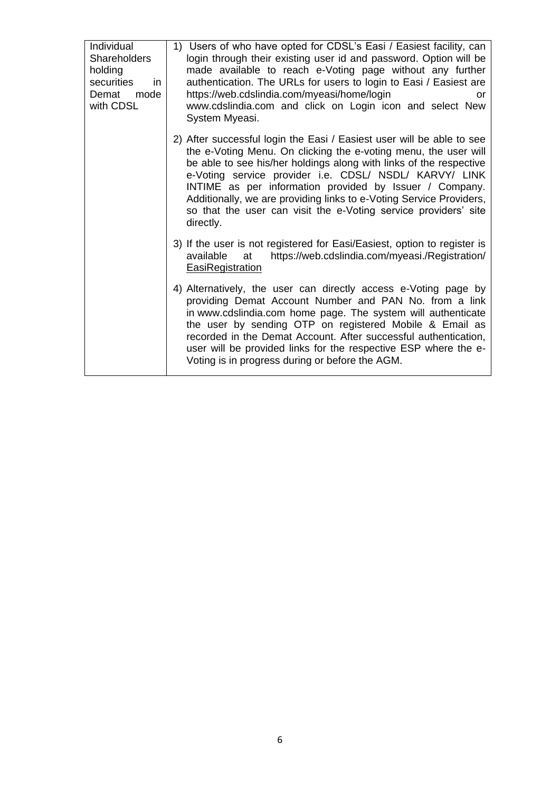| Individual<br><b>Shareholders</b><br>holding<br>securities<br>in.<br>Demat<br>mode<br>with CDSL | 1) Users of who have opted for CDSL's Easi / Easiest facility, can<br>login through their existing user id and password. Option will be<br>made available to reach e-Voting page without any further<br>authentication. The URLs for users to login to Easi / Easiest are<br>https://web.cdslindia.com/myeasi/home/login<br>or<br>www.cdslindia.com and click on Login icon and select New<br>System Myeasi.                                                                               |
|-------------------------------------------------------------------------------------------------|--------------------------------------------------------------------------------------------------------------------------------------------------------------------------------------------------------------------------------------------------------------------------------------------------------------------------------------------------------------------------------------------------------------------------------------------------------------------------------------------|
|                                                                                                 | 2) After successful login the Easi / Easiest user will be able to see<br>the e-Voting Menu. On clicking the e-voting menu, the user will<br>be able to see his/her holdings along with links of the respective<br>e-Voting service provider i.e. CDSL/ NSDL/ KARVY/ LINK<br>INTIME as per information provided by Issuer / Company.<br>Additionally, we are providing links to e-Voting Service Providers,<br>so that the user can visit the e-Voting service providers' site<br>directly. |
|                                                                                                 | 3) If the user is not registered for Easi/Easiest, option to register is<br>https://web.cdslindia.com/myeasi./Registration/<br>available<br>at<br><b>EasiRegistration</b>                                                                                                                                                                                                                                                                                                                  |
|                                                                                                 | 4) Alternatively, the user can directly access e-Voting page by<br>providing Demat Account Number and PAN No. from a link<br>in www.cdslindia.com home page. The system will authenticate<br>the user by sending OTP on registered Mobile & Email as<br>recorded in the Demat Account. After successful authentication,<br>user will be provided links for the respective ESP where the e-<br>Voting is in progress during or before the AGM.                                              |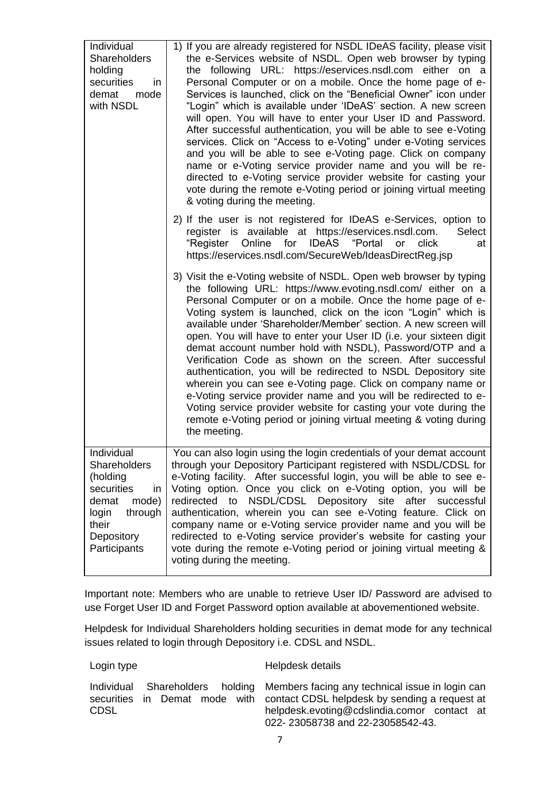| Individual<br>Shareholders<br>holding<br>securities<br>in<br>demat<br>mode<br>with NSDL                                                         | 1) If you are already registered for NSDL IDeAS facility, please visit<br>the e-Services website of NSDL. Open web browser by typing<br>the following URL: https://eservices.nsdl.com either on a<br>Personal Computer or on a mobile. Once the home page of e-<br>Services is launched, click on the "Beneficial Owner" icon under<br>"Login" which is available under 'IDeAS' section. A new screen<br>will open. You will have to enter your User ID and Password.<br>After successful authentication, you will be able to see e-Voting<br>services. Click on "Access to e-Voting" under e-Voting services<br>and you will be able to see e-Voting page. Click on company<br>name or e-Voting service provider name and you will be re-<br>directed to e-Voting service provider website for casting your<br>vote during the remote e-Voting period or joining virtual meeting<br>& voting during the meeting. |
|-------------------------------------------------------------------------------------------------------------------------------------------------|-------------------------------------------------------------------------------------------------------------------------------------------------------------------------------------------------------------------------------------------------------------------------------------------------------------------------------------------------------------------------------------------------------------------------------------------------------------------------------------------------------------------------------------------------------------------------------------------------------------------------------------------------------------------------------------------------------------------------------------------------------------------------------------------------------------------------------------------------------------------------------------------------------------------|
|                                                                                                                                                 | 2) If the user is not registered for IDeAS e-Services, option to<br>register is available at https://eservices.nsdl.com.<br>Select<br>IDeAS "Portal<br>"Register<br>Online for<br>click<br>or<br>at<br>https://eservices.nsdl.com/SecureWeb/IdeasDirectReg.jsp                                                                                                                                                                                                                                                                                                                                                                                                                                                                                                                                                                                                                                                    |
|                                                                                                                                                 | 3) Visit the e-Voting website of NSDL. Open web browser by typing<br>the following URL: https://www.evoting.nsdl.com/ either on a<br>Personal Computer or on a mobile. Once the home page of e-<br>Voting system is launched, click on the icon "Login" which is<br>available under 'Shareholder/Member' section. A new screen will<br>open. You will have to enter your User ID (i.e. your sixteen digit<br>demat account number hold with NSDL), Password/OTP and a<br>Verification Code as shown on the screen. After successful<br>authentication, you will be redirected to NSDL Depository site<br>wherein you can see e-Voting page. Click on company name or<br>e-Voting service provider name and you will be redirected to e-<br>Voting service provider website for casting your vote during the<br>remote e-Voting period or joining virtual meeting & voting during<br>the meeting.                  |
| Individual<br><b>Shareholders</b><br>(holding<br>securities<br>in.<br>mode)<br>demat<br>login<br>through<br>their<br>Depository<br>Participants | You can also login using the login credentials of your demat account<br>through your Depository Participant registered with NSDL/CDSL for<br>e-Voting facility. After successful login, you will be able to see e-<br>Voting option. Once you click on e-Voting option, you will be<br>redirected<br>NSDL/CDSL Depository site<br>to<br>after successful<br>authentication, wherein you can see e-Voting feature. Click on<br>company name or e-Voting service provider name and you will be<br>redirected to e-Voting service provider's website for casting your<br>vote during the remote e-Voting period or joining virtual meeting &<br>voting during the meeting.                                                                                                                                                                                                                                           |

Important note: Members who are unable to retrieve User ID/ Password are advised to use Forget User ID and Forget Password option available at abovementioned website.

Helpdesk for Individual Shareholders holding securities in demat mode for any technical issues related to login through Depository i.e. CDSL and NSDL.

Login type **Helpdesk** details Individual Shareholders holding securities in Demat mode with CDSL Members facing any technical issue in login can contact CDSL helpdesk by sending a request at helpdesk.evoting@cdslindia.comor contact at 022- 23058738 and 22-23058542-43.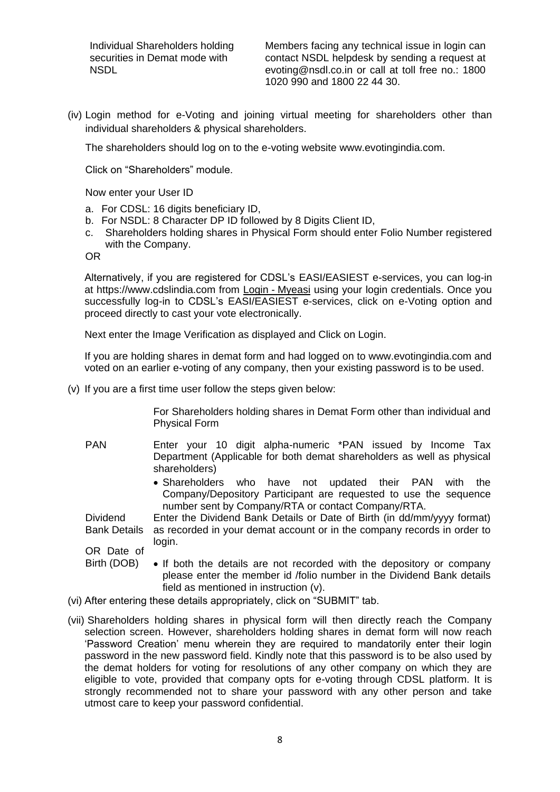Individual Shareholders holding securities in Demat mode with **NSDL** 

Members facing any technical issue in login can contact NSDL helpdesk by sending a request at evoting@nsdl.co.in or call at toll free no.: 1800 1020 990 and 1800 22 44 30.

(iv) Login method for e-Voting and joining virtual meeting for shareholders other than individual shareholders & physical shareholders.

The shareholders should log on to the e-voting website www.evotingindia.com.

Click on "Shareholders" module.

Now enter your User ID

- a. For CDSL: 16 digits beneficiary ID,
- b. For NSDL: 8 Character DP ID followed by 8 Digits Client ID,
- c. Shareholders holding shares in Physical Form should enter Folio Number registered with the Company.

OR

Alternatively, if you are registered for CDSL"s EASI/EASIEST e-services, you can log-in at https://www.cdslindia.com from Login - [Myeasi](file:///C:/Users/Sugandha/Desktop/EOGM/Login - Myeasi) using your login credentials. Once you successfully log-in to CDSL's EASI/EASIEST e-services, click on e-Voting option and proceed directly to cast your vote electronically.

Next enter the Image Verification as displayed and Click on Login.

If you are holding shares in demat form and had logged on to www.evotingindia.com and voted on an earlier e-voting of any company, then your existing password is to be used.

(v) If you are a first time user follow the steps given below:

For Shareholders holding shares in Demat Form other than individual and Physical Form

- PAN Enter your 10 digit alpha-numeric \*PAN issued by Income Tax Department (Applicable for both demat shareholders as well as physical shareholders)
	- Shareholders who have not updated their PAN with the Company/Depository Participant are requested to use the sequence number sent by Company/RTA or contact Company/RTA.

**Dividend** Bank Details Enter the Dividend Bank Details or Date of Birth (in dd/mm/yyyy format) as recorded in your demat account or in the company records in order to login.

OR Date of

- Birth (DOB) • If both the details are not recorded with the depository or company please enter the member id /folio number in the Dividend Bank details field as mentioned in instruction (v).
- (vi) After entering these details appropriately, click on "SUBMIT" tab.
- (vii) Shareholders holding shares in physical form will then directly reach the Company selection screen. However, shareholders holding shares in demat form will now reach "Password Creation" menu wherein they are required to mandatorily enter their login password in the new password field. Kindly note that this password is to be also used by the demat holders for voting for resolutions of any other company on which they are eligible to vote, provided that company opts for e-voting through CDSL platform. It is strongly recommended not to share your password with any other person and take utmost care to keep your password confidential.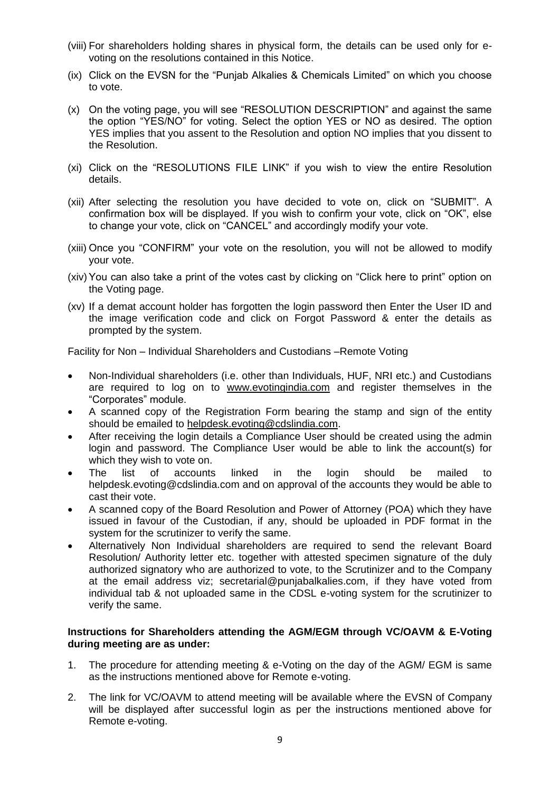- (viii) For shareholders holding shares in physical form, the details can be used only for evoting on the resolutions contained in this Notice.
- (ix) Click on the EVSN for the "Punjab Alkalies & Chemicals Limited" on which you choose to vote.
- (x) On the voting page, you will see "RESOLUTION DESCRIPTION" and against the same the option "YES/NO" for voting. Select the option YES or NO as desired. The option YES implies that you assent to the Resolution and option NO implies that you dissent to the Resolution.
- (xi) Click on the "RESOLUTIONS FILE LINK" if you wish to view the entire Resolution details.
- (xii) After selecting the resolution you have decided to vote on, click on "SUBMIT". A confirmation box will be displayed. If you wish to confirm your vote, click on "OK", else to change your vote, click on "CANCEL" and accordingly modify your vote.
- (xiii) Once you "CONFIRM" your vote on the resolution, you will not be allowed to modify your vote.
- (xiv)You can also take a print of the votes cast by clicking on "Click here to print" option on the Voting page.
- (xv) If a demat account holder has forgotten the login password then Enter the User ID and the image verification code and click on Forgot Password & enter the details as prompted by the system.

Facility for Non – Individual Shareholders and Custodians –Remote Voting

- Non-Individual shareholders (i.e. other than Individuals, HUF, NRI etc.) and Custodians are required to log on to [www.evotingindia.com](http://www.evotingindia.com/) and register themselves in the "Corporates" module.
- A scanned copy of the Registration Form bearing the stamp and sign of the entity should be emailed to [helpdesk.evoting@cdslindia.com.](mailto:helpdesk.evoting@cdslindia.com)
- After receiving the login details a Compliance User should be created using the admin login and password. The Compliance User would be able to link the account(s) for which they wish to vote on.
- The list of accounts linked in the login should be mailed to helpdesk.evoting@cdslindia.com and on approval of the accounts they would be able to cast their vote.
- A scanned copy of the Board Resolution and Power of Attorney (POA) which they have issued in favour of the Custodian, if any, should be uploaded in PDF format in the system for the scrutinizer to verify the same.
- Alternatively Non Individual shareholders are required to send the relevant Board Resolution/ Authority letter etc. together with attested specimen signature of the duly authorized signatory who are authorized to vote, to the Scrutinizer and to the Company at the email address viz; secretarial@punjabalkalies.com, if they have voted from individual tab & not uploaded same in the CDSL e-voting system for the scrutinizer to verify the same.

#### **Instructions for Shareholders attending the AGM/EGM through VC/OAVM & E-Voting during meeting are as under:**

- 1. The procedure for attending meeting & e-Voting on the day of the AGM/ EGM is same as the instructions mentioned above for Remote e-voting.
- 2. The link for VC/OAVM to attend meeting will be available where the EVSN of Company will be displayed after successful login as per the instructions mentioned above for Remote e-voting.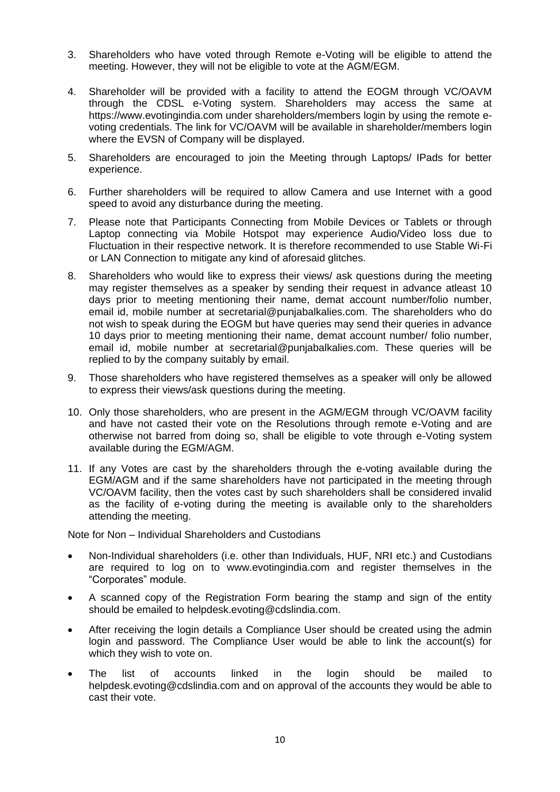- 3. Shareholders who have voted through Remote e-Voting will be eligible to attend the meeting. However, they will not be eligible to vote at the AGM/EGM.
- 4. Shareholder will be provided with a facility to attend the EOGM through VC/OAVM through the CDSL e-Voting system. Shareholders may access the same at https://www.evotingindia.com under shareholders/members login by using the remote evoting credentials. The link for VC/OAVM will be available in shareholder/members login where the EVSN of Company will be displayed.
- 5. Shareholders are encouraged to join the Meeting through Laptops/ IPads for better experience.
- 6. Further shareholders will be required to allow Camera and use Internet with a good speed to avoid any disturbance during the meeting.
- 7. Please note that Participants Connecting from Mobile Devices or Tablets or through Laptop connecting via Mobile Hotspot may experience Audio/Video loss due to Fluctuation in their respective network. It is therefore recommended to use Stable Wi-Fi or LAN Connection to mitigate any kind of aforesaid glitches.
- 8. Shareholders who would like to express their views/ ask questions during the meeting may register themselves as a speaker by sending their request in advance atleast 10 days prior to meeting mentioning their name, demat account number/folio number, email id, mobile number at secretarial@punjabalkalies.com. The shareholders who do not wish to speak during the EOGM but have queries may send their queries in advance 10 days prior to meeting mentioning their name, demat account number/ folio number, email id, mobile number at secretarial@punjabalkalies.com. These queries will be replied to by the company suitably by email.
- 9. Those shareholders who have registered themselves as a speaker will only be allowed to express their views/ask questions during the meeting.
- 10. Only those shareholders, who are present in the AGM/EGM through VC/OAVM facility and have not casted their vote on the Resolutions through remote e-Voting and are otherwise not barred from doing so, shall be eligible to vote through e-Voting system available during the EGM/AGM.
- 11. If any Votes are cast by the shareholders through the e-voting available during the EGM/AGM and if the same shareholders have not participated in the meeting through VC/OAVM facility, then the votes cast by such shareholders shall be considered invalid as the facility of e-voting during the meeting is available only to the shareholders attending the meeting.

Note for Non – Individual Shareholders and Custodians

- Non-Individual shareholders (i.e. other than Individuals, HUF, NRI etc.) and Custodians are required to log on to www.evotingindia.com and register themselves in the "Corporates" module.
- A scanned copy of the Registration Form bearing the stamp and sign of the entity should be emailed to helpdesk.evoting@cdslindia.com.
- After receiving the login details a Compliance User should be created using the admin login and password. The Compliance User would be able to link the account(s) for which they wish to vote on.
- The list of accounts linked in the login should be mailed to helpdesk.evoting@cdslindia.com and on approval of the accounts they would be able to cast their vote.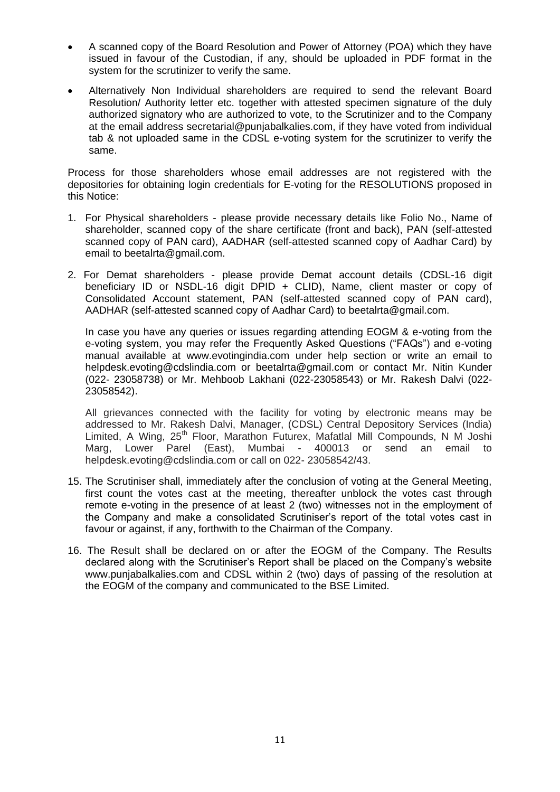- A scanned copy of the Board Resolution and Power of Attorney (POA) which they have issued in favour of the Custodian, if any, should be uploaded in PDF format in the system for the scrutinizer to verify the same.
- Alternatively Non Individual shareholders are required to send the relevant Board Resolution/ Authority letter etc. together with attested specimen signature of the duly authorized signatory who are authorized to vote, to the Scrutinizer and to the Company at the email address secretarial@punjabalkalies.com, if they have voted from individual tab & not uploaded same in the CDSL e-voting system for the scrutinizer to verify the same.

Process for those shareholders whose email addresses are not registered with the depositories for obtaining login credentials for E-voting for the RESOLUTIONS proposed in this Notice:

- 1. For Physical shareholders please provide necessary details like Folio No., Name of shareholder, scanned copy of the share certificate (front and back), PAN (self-attested scanned copy of PAN card), AADHAR (self-attested scanned copy of Aadhar Card) by email to beetalrta@gmail.com.
- 2. For Demat shareholders please provide Demat account details (CDSL-16 digit beneficiary ID or NSDL-16 digit DPID + CLID), Name, client master or copy of Consolidated Account statement, PAN (self-attested scanned copy of PAN card), AADHAR (self-attested scanned copy of Aadhar Card) to beetalrta@gmail.com.

In case you have any queries or issues regarding attending EOGM & e-voting from the e-voting system, you may refer the Frequently Asked Questions ("FAQs") and e-voting manual available at www.evotingindia.com under help section or write an email to helpdesk.evoting@cdslindia.com or beetalrta@gmail.com or contact Mr. Nitin Kunder (022- 23058738) or Mr. Mehboob Lakhani (022-23058543) or Mr. Rakesh Dalvi (022- 23058542).

All grievances connected with the facility for voting by electronic means may be addressed to Mr. Rakesh Dalvi, Manager, (CDSL) Central Depository Services (India) Limited, A Wing, 25<sup>th</sup> Floor, Marathon Futurex, Mafatlal Mill Compounds, N M Joshi Marg, Lower Parel (East), Mumbai - 400013 or send an email to helpdesk.evoting@cdslindia.com or call on 022- 23058542/43.

- 15. The Scrutiniser shall, immediately after the conclusion of voting at the General Meeting, first count the votes cast at the meeting, thereafter unblock the votes cast through remote e-voting in the presence of at least 2 (two) witnesses not in the employment of the Company and make a consolidated Scrutiniser"s report of the total votes cast in favour or against, if any, forthwith to the Chairman of the Company.
- 16. The Result shall be declared on or after the EOGM of the Company. The Results declared along with the Scrutiniser"s Report shall be placed on the Company"s website www.punjabalkalies.com and CDSL within 2 (two) days of passing of the resolution at the EOGM of the company and communicated to the BSE Limited.